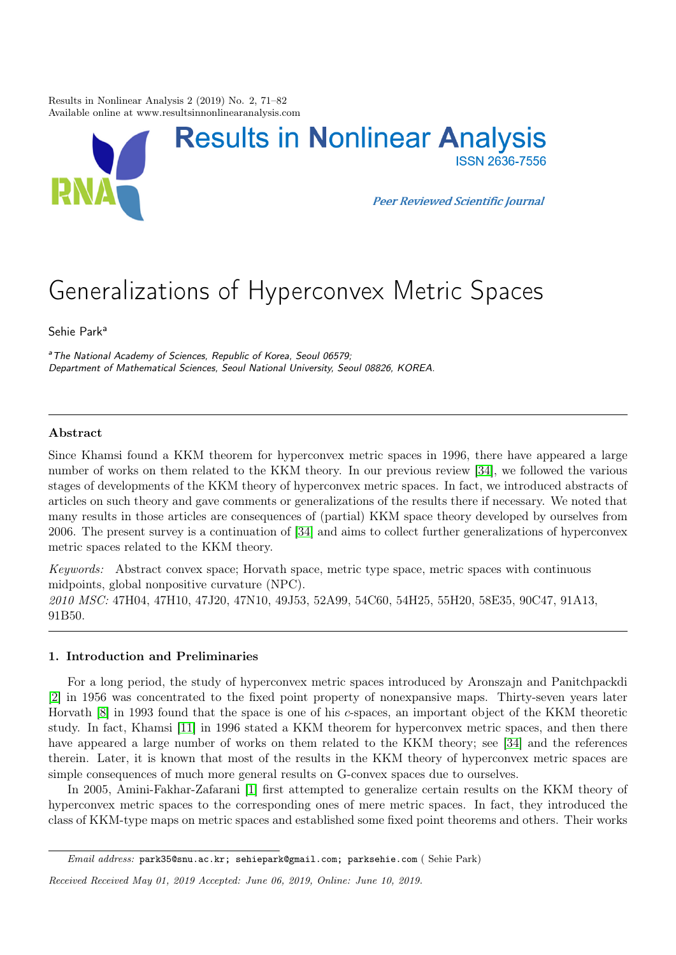Results in Nonlinear Analysis 2 (2019) No. 2, 71–82 Available online at www.resultsinnonlinearanalysis.com



# Generalizations of Hyperconvex Metric Spaces

Sehie Park<sup>a</sup>

<sup>a</sup>The National Academy of Sciences, Republic of Korea, Seoul 06579; Department of Mathematical Sciences, Seoul National University, Seoul 08826, KOREA.

# Abstract

Since Khamsi found a KKM theorem for hyperconvex metric spaces in 1996, there have appeared a large number of works on them related to the KKM theory. In our previous review [\[34\]](#page-11-0), we followed the various stages of developments of the KKM theory of hyperconvex metric spaces. In fact, we introduced abstracts of articles on such theory and gave comments or generalizations of the results there if necessary. We noted that many results in those articles are consequences of (partial) KKM space theory developed by ourselves from 2006. The present survey is a continuation of [\[34\]](#page-11-0) and aims to collect further generalizations of hyperconvex metric spaces related to the KKM theory.

Keywords: Abstract convex space; Horvath space, metric type space, metric spaces with continuous midpoints, global nonpositive curvature (NPC). 2010 MSC: 47H04, 47H10, 47J20, 47N10, 49J53, 52A99, 54C60, 54H25, 55H20, 58E35, 90C47, 91A13, 91B50.

# 1. Introduction and Preliminaries

For a long period, the study of hyperconvex metric spaces introduced by Aronszajn and Panitchpackdi [\[2\]](#page-10-0) in 1956 was concentrated to the fixed point property of nonexpansive maps. Thirty-seven years later Horvath [\[8\]](#page-10-1) in 1993 found that the space is one of his c-spaces, an important object of the KKM theoretic study. In fact, Khamsi [\[11\]](#page-11-1) in 1996 stated a KKM theorem for hyperconvex metric spaces, and then there have appeared a large number of works on them related to the KKM theory; see [\[34\]](#page-11-0) and the references therein. Later, it is known that most of the results in the KKM theory of hyperconvex metric spaces are simple consequences of much more general results on G-convex spaces due to ourselves.

In 2005, Amini-Fakhar-Zafarani [\[1\]](#page-10-2) first attempted to generalize certain results on the KKM theory of hyperconvex metric spaces to the corresponding ones of mere metric spaces. In fact, they introduced the class of KKM-type maps on metric spaces and established some fixed point theorems and others. Their works

Email address: park35@snu.ac.kr; sehiepark@gmail.com; parksehie.com ( Sehie Park)

Received Received May 01, 2019 Accepted: June 06, 2019, Online: June 10, 2019.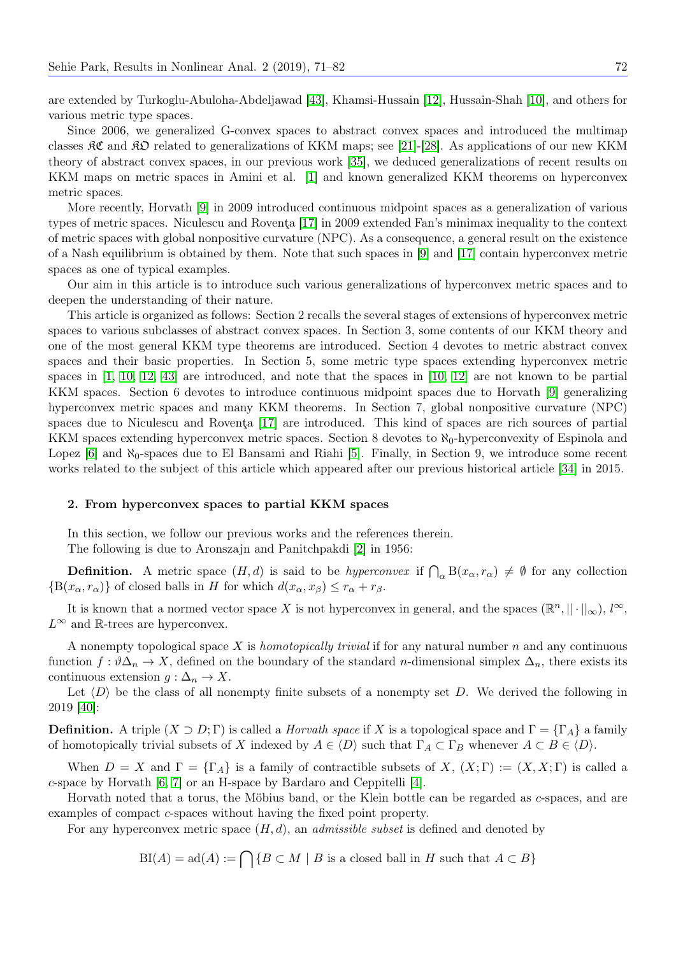are extended by Turkoglu-Abuloha-Abdeljawad [\[43\]](#page-11-2), Khamsi-Hussain [\[12\]](#page-11-3), Hussain-Shah [\[10\]](#page-11-4), and others for various metric type spaces.

Since 2006, we generalized G-convex spaces to abstract convex spaces and introduced the multimap classes  $\Re \mathfrak{C}$  and  $\Re \mathfrak{D}$  related to generalizations of KKM maps; see [\[21\]](#page-11-5)-[\[28\]](#page-11-6). As applications of our new KKM theory of abstract convex spaces, in our previous work [\[35\]](#page-11-7), we deduced generalizations of recent results on KKM maps on metric spaces in Amini et al. [\[1\]](#page-10-2) and known generalized KKM theorems on hyperconvex metric spaces.

More recently, Horvath [\[9\]](#page-11-8) in 2009 introduced continuous midpoint spaces as a generalization of various types of metric spaces. Niculescu and Roventa [\[17\]](#page-11-9) in 2009 extended Fan's minimax inequality to the context of metric spaces with global nonpositive curvature (NPC). As a consequence, a general result on the existence of a Nash equilibrium is obtained by them. Note that such spaces in [\[9\]](#page-11-8) and [\[17\]](#page-11-9) contain hyperconvex metric spaces as one of typical examples.

Our aim in this article is to introduce such various generalizations of hyperconvex metric spaces and to deepen the understanding of their nature.

This article is organized as follows: Section 2 recalls the several stages of extensions of hyperconvex metric spaces to various subclasses of abstract convex spaces. In Section 3, some contents of our KKM theory and one of the most general KKM type theorems are introduced. Section 4 devotes to metric abstract convex spaces and their basic properties. In Section 5, some metric type spaces extending hyperconvex metric spaces in [\[1,](#page-10-2) [10,](#page-11-4) [12,](#page-11-3) [43\]](#page-11-2) are introduced, and note that the spaces in [\[10,](#page-11-4) [12\]](#page-11-3) are not known to be partial KKM spaces. Section 6 devotes to introduce continuous midpoint spaces due to Horvath [\[9\]](#page-11-8) generalizing hyperconvex metric spaces and many KKM theorems. In Section 7, global nonpositive curvature (NPC) spaces due to Niculescu and Rovenţa [\[17\]](#page-11-9) are introduced. This kind of spaces are rich sources of partial KKM spaces extending hyperconvex metric spaces. Section 8 devotes to  $\aleph_0$ -hyperconvexity of Espinola and Lopez [\[6\]](#page-10-3) and  $\aleph_0$ -spaces due to El Bansami and Riahi [\[5\]](#page-10-4). Finally, in Section 9, we introduce some recent works related to the subject of this article which appeared after our previous historical article [\[34\]](#page-11-0) in 2015.

#### 2. From hyperconvex spaces to partial KKM spaces

In this section, we follow our previous works and the references therein. The following is due to Aronszajn and Panitchpakdi [\[2\]](#page-10-0) in 1956:

**Definition.** A metric space  $(H, d)$  is said to be *hyperconvex* if  $\bigcap_{\alpha} B(x_{\alpha}, r_{\alpha}) \neq \emptyset$  for any collection  ${B(x_\alpha, r_\alpha)}$  of closed balls in H for which  $d(x_\alpha, x_\beta) \leq r_\alpha + r_\beta$ .

It is known that a normed vector space X is not hyperconvex in general, and the spaces  $(\mathbb{R}^n, ||\cdot||_{\infty}), l^{\infty}$ ,  $L^{\infty}$  and R-trees are hyperconvex.

A nonempty topological space X is *homotopically trivial* if for any natural number  $n$  and any continuous function  $f: \vartheta \Delta_n \to X$ , defined on the boundary of the standard *n*-dimensional simplex  $\Delta_n$ , there exists its continuous extension  $g : \Delta_n \to X$ .

Let  $\langle D \rangle$  be the class of all nonempty finite subsets of a nonempty set D. We derived the following in 2019 [\[40\]](#page-11-10):

**Definition.** A triple  $(X \supset D; \Gamma)$  is called a *Horvath space* if X is a topological space and  $\Gamma = {\Gamma_A}$  a family of homotopically trivial subsets of X indexed by  $A \in \langle D \rangle$  such that  $\Gamma_A \subset \Gamma_B$  whenever  $A \subset B \in \langle D \rangle$ .

When  $D = X$  and  $\Gamma = {\Gamma_A}$  is a family of contractible subsets of X,  $(X; \Gamma) := (X, X; \Gamma)$  is called a c-space by Horvath [\[6,](#page-10-3) [7\]](#page-10-5) or an H-space by Bardaro and Ceppitelli [\[4\]](#page-10-6).

Horvath noted that a torus, the Möbius band, or the Klein bottle can be regarded as c-spaces, and are examples of compact c-spaces without having the fixed point property.

For any hyperconvex metric space  $(H, d)$ , an *admissible subset* is defined and denoted by

 $BI(A) = ad(A) := \bigcap \{B \subset M \mid B \text{ is a closed ball in } H \text{ such that } A \subset B\}$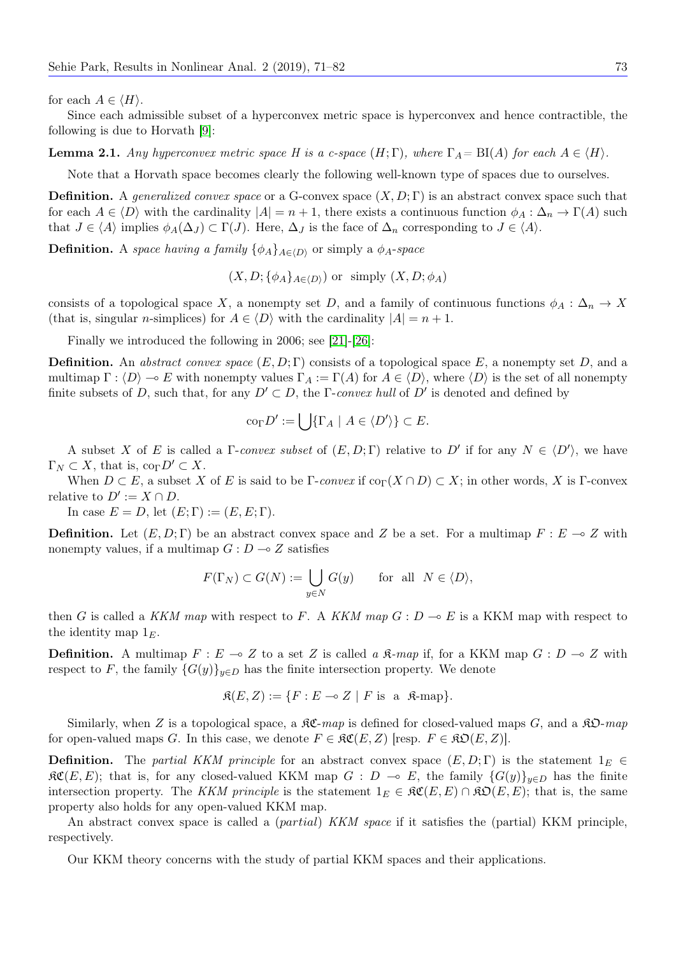for each  $A \in \langle H \rangle$ .

Since each admissible subset of a hyperconvex metric space is hyperconvex and hence contractible, the following is due to Horvath [\[9\]](#page-11-8):

**Lemma 2.1.** Any hyperconvex metric space H is a c-space  $(H; \Gamma)$ , where  $\Gamma_A = \text{BI}(A)$  for each  $A \in \langle H \rangle$ .

Note that a Horvath space becomes clearly the following well-known type of spaces due to ourselves.

**Definition.** A generalized convex space or a G-convex space  $(X, D; \Gamma)$  is an abstract convex space such that for each  $A \in \langle D \rangle$  with the cardinality  $|A| = n + 1$ , there exists a continuous function  $\phi_A : \Delta_n \to \Gamma(A)$  such that  $J \in \langle A \rangle$  implies  $\phi_A(\Delta_J) \subset \Gamma(J)$ . Here,  $\Delta_J$  is the face of  $\Delta_n$  corresponding to  $J \in \langle A \rangle$ .

**Definition.** A space having a family  $\{\phi_A\}_{A\in\langle D\rangle}$  or simply a  $\phi_A$ -space

 $(X, D; {\phi_A}_{A \in \langle D \rangle})$  or simply  $(X, D; \phi_A)$ 

consists of a topological space X, a nonempty set D, and a family of continuous functions  $\phi_A : \Delta_n \to X$ (that is, singular *n*-simplices) for  $A \in \langle D \rangle$  with the cardinality  $|A| = n + 1$ .

Finally we introduced the following in 2006; see [\[21\]](#page-11-5)-[\[26\]](#page-11-11):

**Definition.** An abstract convex space  $(E, D; \Gamma)$  consists of a topological space E, a nonempty set D, and a multimap  $\Gamma : \langle D \rangle \to E$  with nonempty values  $\Gamma_A := \Gamma(A)$  for  $A \in \langle D \rangle$ , where  $\langle D \rangle$  is the set of all nonempty finite subsets of D, such that, for any  $D' \subset D$ , the  $\Gamma$ -convex hull of  $D'$  is denoted and defined by

$$
\mathrm{co}_{\Gamma}D':=\bigcup\{\Gamma_A\mid A\in\langle D'\rangle\}\subset E.
$$

A subset X of E is called a  $\Gamma$ -convex subset of  $(E, D; \Gamma)$  relative to D' if for any  $N \in \langle D' \rangle$ , we have  $\Gamma_N \subset X$ , that is,  $\text{co}_{\Gamma} D' \subset X$ .

When  $D \subset E$ , a subset X of E is said to be  $\Gamma$ -convex if  $\text{co}_{\Gamma}(X \cap D) \subset X$ ; in other words, X is  $\Gamma$ -convex relative to  $D' := X \cap D$ .

In case  $E = D$ , let  $(E; \Gamma) := (E, E; \Gamma)$ .

**Definition.** Let  $(E, D; \Gamma)$  be an abstract convex space and Z be a set. For a multimap  $F : E \to Z$  with nonempty values, if a multimap  $G : D \longrightarrow Z$  satisfies

$$
F(\Gamma_N) \subset G(N) := \bigcup_{y \in N} G(y) \quad \text{for all } N \in \langle D \rangle,
$$

then G is called a KKM map with respect to F. A KKM map  $G: D \to E$  is a KKM map with respect to the identity map  $1<sub>E</sub>$ .

**Definition.** A multimap  $F : E \to Z$  to a set Z is called a  $\mathcal{R}$ -map if, for a KKM map  $G : D \to Z$  with respect to F, the family  $\{G(y)\}_{y\in D}$  has the finite intersection property. We denote

$$
\mathfrak{K}(E, Z) := \{ F : E \multimap Z \mid F \text{ is a } \mathfrak{K}\text{-map} \}.
$$

Similarly, when Z is a topological space, a  $\Re\mathfrak{C}$ -map is defined for closed-valued maps G, and a  $\Re\mathfrak{D}$ -map for open-valued maps G. In this case, we denote  $F \in \mathfrak{RC}(E, Z)$  [resp.  $F \in \mathfrak{RO}(E, Z)$ ].

**Definition.** The partial KKM principle for an abstract convex space  $(E, D; \Gamma)$  is the statement  $1_E \in$  $\mathcal{RC}(E, E)$ ; that is, for any closed-valued KKM map  $G : D \multimap E$ , the family  ${G(y)}_{y\in D}$  has the finite intersection property. The KKM principle is the statement  $1_E \in \mathcal{RC}(E, E) \cap \mathcal{RD}(E, E)$ ; that is, the same property also holds for any open-valued KKM map.

An abstract convex space is called a *(partial) KKM space* if it satisfies the *(partial) KKM principle*, respectively.

Our KKM theory concerns with the study of partial KKM spaces and their applications.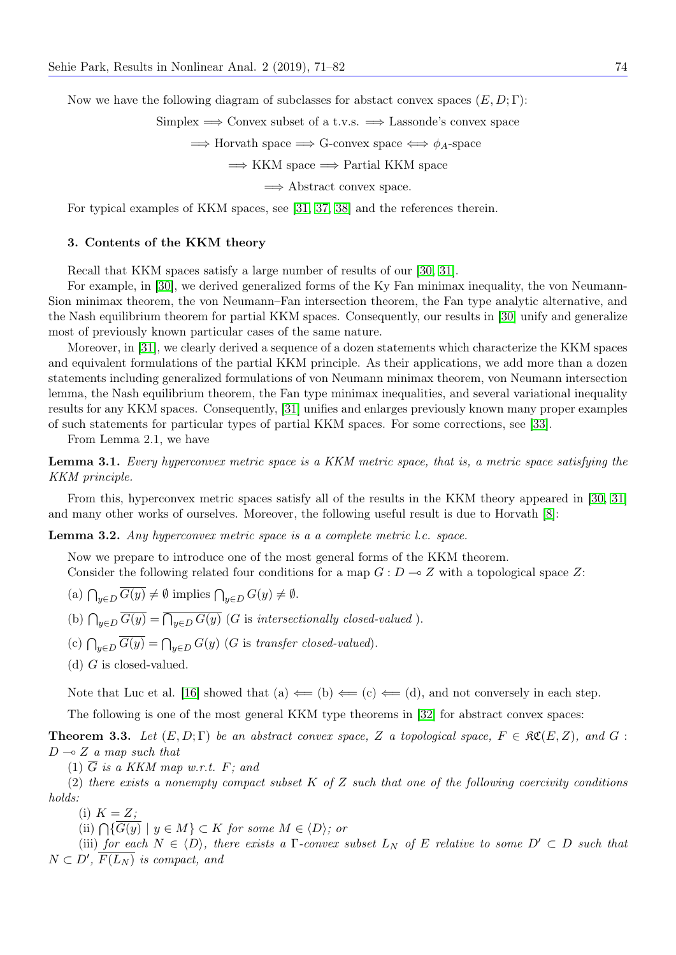Now we have the following diagram of subclasses for abstact convex spaces  $(E, D; \Gamma)$ :

Simplex  $\implies$  Convex subset of a t.v.s.  $\implies$  Lassonde's convex space

 $\implies$  Horvath space  $\implies$  G-convex space  $\iff \phi_A$ -space

 $\Rightarrow$  KKM space  $\Rightarrow$  Partial KKM space

 $\implies$  Abstract convex space.

For typical examples of KKM spaces, see [\[31,](#page-11-12) [37,](#page-11-13) [38\]](#page-11-14) and the references therein.

# 3. Contents of the KKM theory

Recall that KKM spaces satisfy a large number of results of our [\[30,](#page-11-15) [31\]](#page-11-12).

For example, in [\[30\]](#page-11-15), we derived generalized forms of the Ky Fan minimax inequality, the von Neumann-Sion minimax theorem, the von Neumann–Fan intersection theorem, the Fan type analytic alternative, and the Nash equilibrium theorem for partial KKM spaces. Consequently, our results in [\[30\]](#page-11-15) unify and generalize most of previously known particular cases of the same nature.

Moreover, in [\[31\]](#page-11-12), we clearly derived a sequence of a dozen statements which characterize the KKM spaces and equivalent formulations of the partial KKM principle. As their applications, we add more than a dozen statements including generalized formulations of von Neumann minimax theorem, von Neumann intersection lemma, the Nash equilibrium theorem, the Fan type minimax inequalities, and several variational inequality results for any KKM spaces. Consequently, [\[31\]](#page-11-12) unifies and enlarges previously known many proper examples of such statements for particular types of partial KKM spaces. For some corrections, see [\[33\]](#page-11-16).

From Lemma 2.1, we have

Lemma 3.1. Every hyperconvex metric space is a KKM metric space, that is, a metric space satisfying the KKM principle.

From this, hyperconvex metric spaces satisfy all of the results in the KKM theory appeared in [\[30,](#page-11-15) [31\]](#page-11-12) and many other works of ourselves. Moreover, the following useful result is due to Horvath [\[8\]](#page-10-1):

Lemma 3.2. Any hyperconvex metric space is a a complete metric l.c. space.

Now we prepare to introduce one of the most general forms of the KKM theorem. Consider the following related four conditions for a map  $G: D \to Z$  with a topological space Z:

- (a)  $\bigcap_{y\in D} G(y) \neq \emptyset$  implies  $\bigcap_{y\in D} G(y) \neq \emptyset$ .
- (b)  $\bigcap_{y\in D} G(y) = \bigcap_{y\in D} G(y)$  (G is intersectionally closed-valued).
- (c)  $\bigcap_{y\in D} G(y) = \bigcap_{y\in D} G(y)$  (G is transfer closed-valued).

(d)  $G$  is closed-valued.

Note that Luc et al. [\[16\]](#page-11-17) showed that (a)  $\Leftarrow$  (b)  $\Leftarrow$  (c)  $\Leftarrow$  (d), and not conversely in each step.

The following is one of the most general KKM type theorems in [\[32\]](#page-11-18) for abstract convex spaces:

**Theorem 3.3.** Let  $(E, D; \Gamma)$  be an abstract convex space, Z a topological space,  $F \in \mathcal{RC}(E, Z)$ , and G:  $D \sim Z$  a map such that

(1)  $\overline{G}$  is a KKM map w.r.t. F; and

(2) there exists a nonempty compact subset  $K$  of  $Z$  such that one of the following coercivity conditions holds:

(i)  $K = Z$ ;

(ii)  $\bigcap \{G(y) \mid y \in M\} \subset K$  for some  $M \in \langle D \rangle$ ; or

(iii) for each  $N \in \langle D \rangle$ , there exists a Γ-convex subset  $L_N$  of E relative to some  $D' \subset D$  such that  $N \subset D', \overline{F(L_N)}$  is compact, and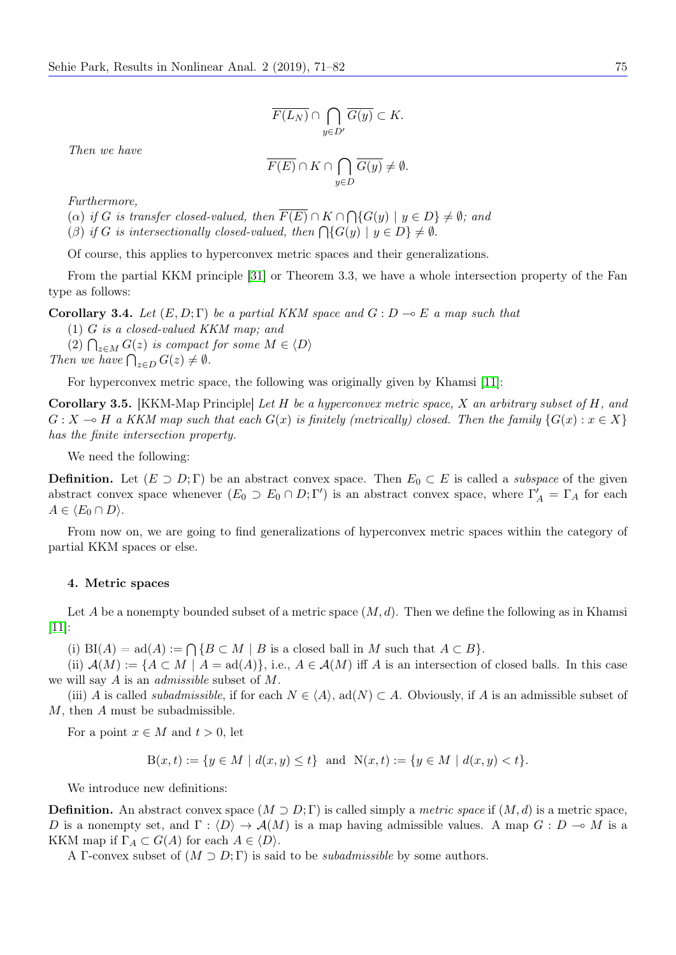$$
\overline{F(L_N)} \cap \bigcap_{y \in D'} \overline{G(y)} \subset K.
$$

Then we have

$$
\overline{F(E)} \cap K \cap \bigcap_{y \in D} \overline{G(y)} \neq \emptyset.
$$

Furthermore,

(a) if G is transfer closed-valued, then  $F(E) \cap K \cap \bigcap \{G(y) \mid y \in D\} \neq \emptyset$ ; and

(β) if G is intersectionally closed-valued, then  $\bigcap \{G(y) \mid y \in D\} \neq \emptyset$ .

Of course, this applies to hyperconvex metric spaces and their generalizations.

From the partial KKM principle [\[31\]](#page-11-12) or Theorem 3.3, we have a whole intersection property of the Fan type as follows:

Corollary 3.4. Let  $(E, D; \Gamma)$  be a partial KKM space and  $G: D \to E$  a map such that

(1) G is a closed-valued KKM map; and

(2)  $\bigcap_{z \in M} G(z)$  is compact for some  $M \in \langle D \rangle$ Then we have  $\bigcap_{z\in D} G(z) \neq \emptyset$ .

For hyperconvex metric space, the following was originally given by Khamsi [\[11\]](#page-11-1):

Corollary 3.5. [KKM-Map Principle] Let H be a hyperconvex metric space, X an arbitrary subset of H, and  $G: X \to H$  a KKM map such that each  $G(x)$  is finitely (metrically) closed. Then the family  $\{G(x) : x \in X\}$ has the finite intersection property.

We need the following:

**Definition.** Let  $(E \supset D; \Gamma)$  be an abstract convex space. Then  $E_0 \subset E$  is called a *subspace* of the given abstract convex space whenever  $(E_0 \supset E_0 \cap D; \Gamma')$  is an abstract convex space, where  $\Gamma'_A = \Gamma_A$  for each  $A \in \langle E_0 \cap D \rangle$ .

From now on, we are going to find generalizations of hyperconvex metric spaces within the category of partial KKM spaces or else.

#### 4. Metric spaces

Let A be a nonempty bounded subset of a metric space  $(M, d)$ . Then we define the following as in Khamsi [\[11\]](#page-11-1):

(i)  $BI(A) = ad(A) := \bigcap \{ B \subset M \mid B \text{ is a closed ball in } M \text{ such that } A \subset B \}.$ 

(ii)  $\mathcal{A}(M) := \{A \subset M \mid A = \text{ad}(A)\}\text{, i.e., } A \in \mathcal{A}(M)$  iff A is an intersection of closed balls. In this case we will say  $A$  is an *admissible* subset of  $M$ .

(iii) A is called *subadmissible*, if for each  $N \in \langle A \rangle$ , ad(N)  $\subset A$ . Obviously, if A is an admissible subset of M, then A must be subadmissible.

For a point  $x \in M$  and  $t > 0$ , let

$$
B(x,t) := \{ y \in M \mid d(x,y) \le t \} \text{ and } N(x,t) := \{ y \in M \mid d(x,y) < t \}.
$$

We introduce new definitions:

**Definition.** An abstract convex space  $(M \supset D; \Gamma)$  is called simply a *metric space* if  $(M, d)$  is a metric space, D is a nonempty set, and  $\Gamma : \langle D \rangle \to \mathcal{A}(M)$  is a map having admissible values. A map  $G : D \multimap M$  is a KKM map if  $\Gamma_A \subset G(A)$  for each  $A \in \langle D \rangle$ .

A Γ-convex subset of  $(M \supset D; \Gamma)$  is said to be *subadmissible* by some authors.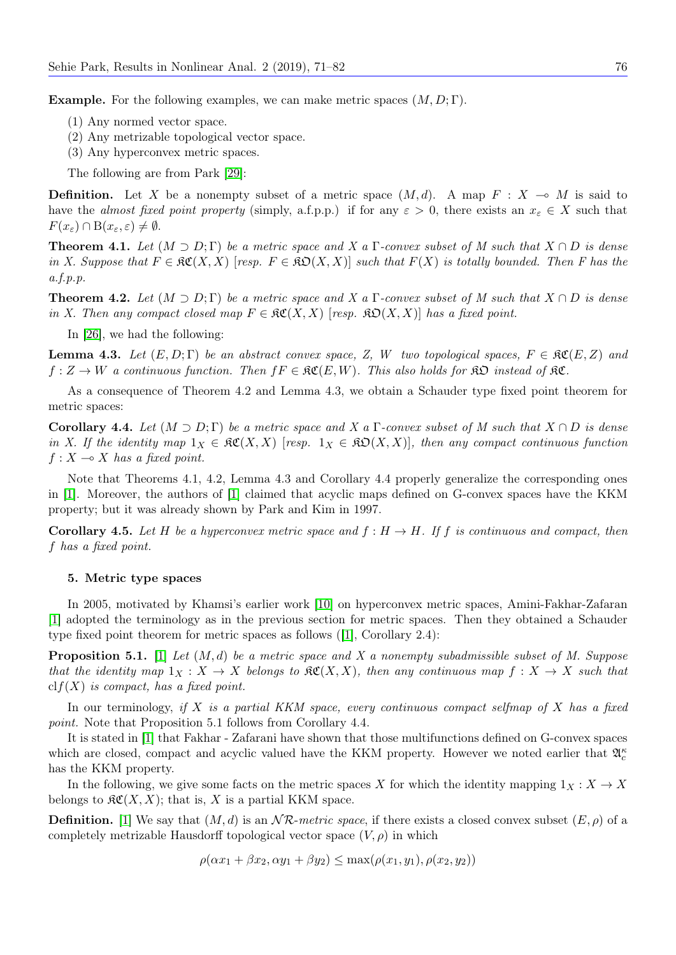**Example.** For the following examples, we can make metric spaces  $(M, D; \Gamma)$ .

- (1) Any normed vector space.
- (2) Any metrizable topological vector space.
- (3) Any hyperconvex metric spaces.

The following are from Park [\[29\]](#page-11-19):

**Definition.** Let X be a nonempty subset of a metric space  $(M, d)$ . A map  $F : X \multimap M$  is said to have the almost fixed point property (simply, a.f.p.p.) if for any  $\varepsilon > 0$ , there exists an  $x_{\varepsilon} \in X$  such that  $F(x_{\varepsilon}) \cap B(x_{\varepsilon}, \varepsilon) \neq \emptyset.$ 

**Theorem 4.1.** Let  $(M \supset D; \Gamma)$  be a metric space and X a  $\Gamma$ -convex subset of M such that  $X \cap D$  is dense in X. Suppose that  $F \in \mathfrak{RC}(X,X)$  [resp.  $F \in \mathfrak{RO}(X,X)$ ] such that  $F(X)$  is totally bounded. Then F has the a.f.p.p.

**Theorem 4.2.** Let  $(M \supset D; \Gamma)$  be a metric space and X a  $\Gamma$ -convex subset of M such that  $X \cap D$  is dense in X. Then any compact closed map  $F \in \mathfrak{RC}(X,X)$  [resp.  $\mathfrak{SO}(X,X)$ ] has a fixed point.

In [\[26\]](#page-11-11), we had the following:

**Lemma 4.3.** Let  $(E, D; \Gamma)$  be an abstract convex space, Z, W two topological spaces,  $F \in \mathcal{RC}(E, Z)$  and  $f: Z \to W$  a continuous function. Then  $f F \in \mathfrak{RC}(E, W)$ . This also holds for  $\mathfrak{RD}$  instead of  $\mathfrak{RC}$ .

As a consequence of Theorem 4.2 and Lemma 4.3, we obtain a Schauder type fixed point theorem for metric spaces:

Corollary 4.4. Let  $(M \supset D; \Gamma)$  be a metric space and X a  $\Gamma$ -convex subset of M such that  $X \cap D$  is dense in X. If the identity map  $1_X \in \mathfrak{RC}(X,X)$  [resp.  $1_X \in \mathfrak{RD}(X,X)$ ], then any compact continuous function  $f: X \longrightarrow X$  has a fixed point.

Note that Theorems 4.1, 4.2, Lemma 4.3 and Corollary 4.4 properly generalize the corresponding ones in [\[1\]](#page-10-2). Moreover, the authors of [\[1\]](#page-10-2) claimed that acyclic maps defined on G-convex spaces have the KKM property; but it was already shown by Park and Kim in 1997.

**Corollary 4.5.** Let H be a hyperconvex metric space and  $f : H \to H$ . If f is continuous and compact, then f has a fixed point.

#### 5. Metric type spaces

In 2005, motivated by Khamsi's earlier work [\[10\]](#page-11-4) on hyperconvex metric spaces, Amini-Fakhar-Zafaran [\[1\]](#page-10-2) adopted the terminology as in the previous section for metric spaces. Then they obtained a Schauder type fixed point theorem for metric spaces as follows ([\[1\]](#page-10-2), Corollary 2.4):

**Proposition 5.1.** [\[1\]](#page-10-2) Let  $(M, d)$  be a metric space and X a nonempty subadmissible subset of M. Suppose that the identity map  $1_X : X \to X$  belongs to  $\mathfrak{RC}(X,X)$ , then any continuous map  $f : X \to X$  such that  $clf(X)$  is compact, has a fixed point.

In our terminology, if X is a partial KKM space, every continuous compact selfmap of X has a fixed point. Note that Proposition 5.1 follows from Corollary 4.4.

It is stated in [\[1\]](#page-10-2) that Fakhar - Zafarani have shown that those multifunctions defined on G-convex spaces which are closed, compact and acyclic valued have the KKM property. However we noted earlier that  $\mathfrak{A}_{c}^{\kappa}$ has the KKM property.

In the following, we give some facts on the metric spaces X for which the identity mapping  $1_X : X \to X$ belongs to  $\mathcal{RC}(X, X)$ ; that is, X is a partial KKM space.

**Definition.** [\[1\]](#page-10-2) We say that  $(M, d)$  is an  $NR$ -metric space, if there exists a closed convex subset  $(E, \rho)$  of a completely metrizable Hausdorff topological vector space  $(V, \rho)$  in which

 $\rho(\alpha x_1 + \beta x_2, \alpha y_1 + \beta y_2) \leq \max(\rho(x_1, y_1), \rho(x_2, y_2))$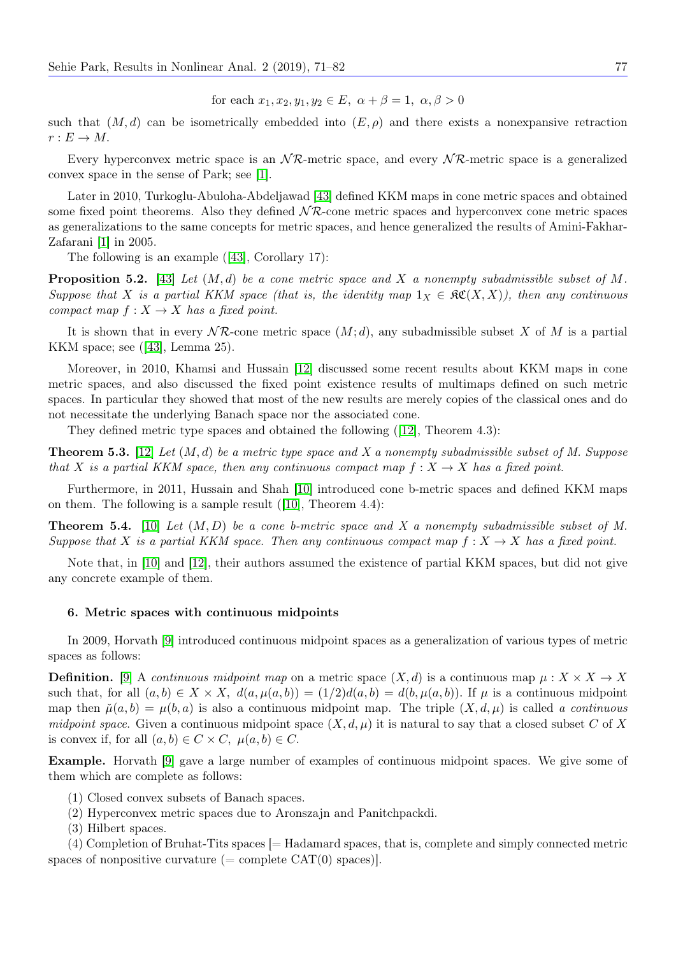for each  $x_1, x_2, y_1, y_2 \in E$ ,  $\alpha + \beta = 1$ ,  $\alpha, \beta > 0$ 

such that  $(M, d)$  can be isometrically embedded into  $(E, \rho)$  and there exists a nonexpansive retraction  $r: E \to M$ .

Every hyperconvex metric space is an  $\mathcal{NR}$ -metric space, and every  $\mathcal{NR}$ -metric space is a generalized convex space in the sense of Park; see [\[1\]](#page-10-2).

Later in 2010, Turkoglu-Abuloha-Abdeljawad [\[43\]](#page-11-2) defined KKM maps in cone metric spaces and obtained some fixed point theorems. Also they defined  $\mathcal{NR}$ -cone metric spaces and hyperconvex cone metric spaces as generalizations to the same concepts for metric spaces, and hence generalized the results of Amini-Fakhar-Zafarani [\[1\]](#page-10-2) in 2005.

The following is an example ([\[43\]](#page-11-2), Corollary 17):

**Proposition 5.2.** [\[43\]](#page-11-2) Let  $(M, d)$  be a cone metric space and X a nonempty subadmissible subset of M. Suppose that X is a partial KKM space (that is, the identity map  $1_X \in \mathfrak{RC}(X,X)$ ), then any continuous compact map  $f: X \to X$  has a fixed point.

It is shown that in every  $N\mathcal{R}$ -cone metric space  $(M; d)$ , any subadmissible subset X of M is a partial KKM space; see ([\[43\]](#page-11-2), Lemma 25).

Moreover, in 2010, Khamsi and Hussain [\[12\]](#page-11-3) discussed some recent results about KKM maps in cone metric spaces, and also discussed the fixed point existence results of multimaps defined on such metric spaces. In particular they showed that most of the new results are merely copies of the classical ones and do not necessitate the underlying Banach space nor the associated cone.

They defined metric type spaces and obtained the following ([\[12\]](#page-11-3), Theorem 4.3):

**Theorem 5.3.** [\[12\]](#page-11-3) Let  $(M, d)$  be a metric type space and X a nonempty subadmissible subset of M. Suppose that X is a partial KKM space, then any continuous compact map  $f: X \to X$  has a fixed point.

Furthermore, in 2011, Hussain and Shah [\[10\]](#page-11-4) introduced cone b-metric spaces and defined KKM maps on them. The following is a sample result ([\[10\]](#page-11-4), Theorem 4.4):

**Theorem 5.4.** [\[10\]](#page-11-4) Let  $(M, D)$  be a cone b-metric space and X a nonempty subadmissible subset of M. Suppose that X is a partial KKM space. Then any continuous compact map  $f: X \to X$  has a fixed point.

Note that, in [\[10\]](#page-11-4) and [\[12\]](#page-11-3), their authors assumed the existence of partial KKM spaces, but did not give any concrete example of them.

## 6. Metric spaces with continuous midpoints

In 2009, Horvath [\[9\]](#page-11-8) introduced continuous midpoint spaces as a generalization of various types of metric spaces as follows:

**Definition.** [\[9\]](#page-11-8) A continuous midpoint map on a metric space  $(X, d)$  is a continuous map  $\mu : X \times X \to X$ such that, for all  $(a, b) \in X \times X$ ,  $d(a, \mu(a, b)) = (1/2)d(a, b) = d(b, \mu(a, b))$ . If  $\mu$  is a continuous midpoint map then  $\tilde{\mu}(a, b) = \mu(b, a)$  is also a continuous midpoint map. The triple  $(X, d, \mu)$  is called a continuous midpoint space. Given a continuous midpoint space  $(X, d, \mu)$  it is natural to say that a closed subset C of X is convex if, for all  $(a, b) \in C \times C$ ,  $\mu(a, b) \in C$ .

Example. Horvath [\[9\]](#page-11-8) gave a large number of examples of continuous midpoint spaces. We give some of them which are complete as follows:

- (1) Closed convex subsets of Banach spaces.
- (2) Hyperconvex metric spaces due to Aronszajn and Panitchpackdi.
- (3) Hilbert spaces.

(4) Completion of Bruhat-Tits spaces [= Hadamard spaces, that is, complete and simply connected metric spaces of nonpositive curvature (= complete  $CAT(0)$  spaces).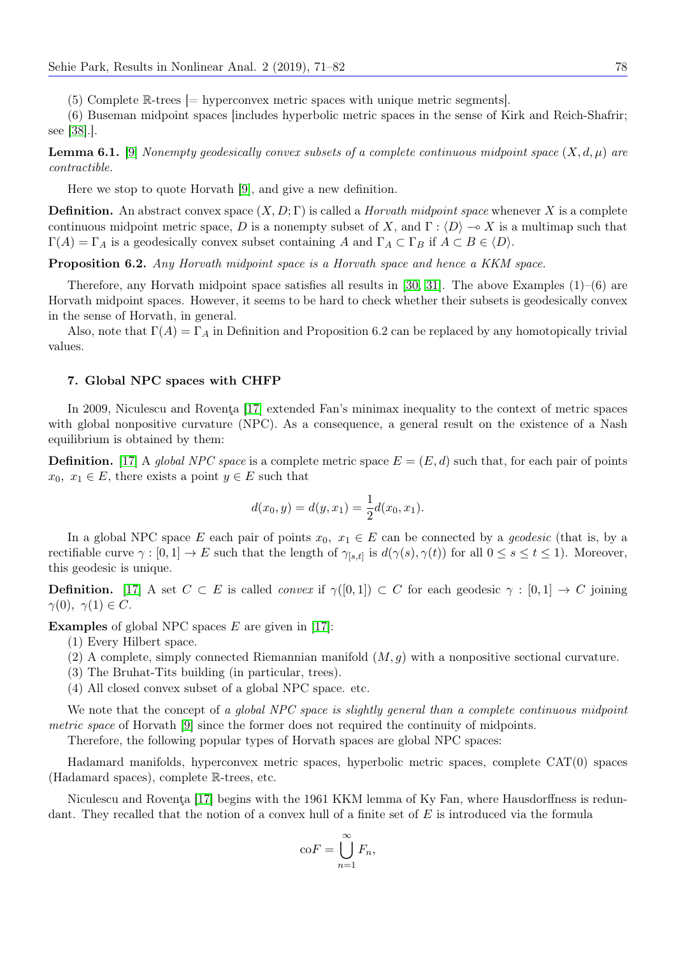(5) Complete R-trees [= hyperconvex metric spaces with unique metric segments].

(6) Buseman midpoint spaces [includes hyperbolic metric spaces in the sense of Kirk and Reich-Shafrir; see [\[38\]](#page-11-14).].

**Lemma 6.1.** [\[9\]](#page-11-8) Nonempty geodesically convex subsets of a complete continuous midpoint space  $(X, d, \mu)$  are contractible.

Here we stop to quote Horvath [\[9\]](#page-11-8), and give a new definition.

**Definition.** An abstract convex space  $(X, D; \Gamma)$  is called a *Horvath midpoint space* whenever X is a complete continuous midpoint metric space, D is a nonempty subset of X, and  $\Gamma: \langle D \rangle \to X$  is a multimap such that  $\Gamma(A) = \Gamma_A$  is a geodesically convex subset containing A and  $\Gamma_A \subset \Gamma_B$  if  $A \subset B \in \langle D \rangle$ .

Proposition 6.2. Any Horvath midpoint space is a Horvath space and hence a KKM space.

Therefore, any Horvath midpoint space satisfies all results in [\[30,](#page-11-15) [31\]](#page-11-12). The above Examples (1)–(6) are Horvath midpoint spaces. However, it seems to be hard to check whether their subsets is geodesically convex in the sense of Horvath, in general.

Also, note that  $\Gamma(A) = \Gamma_A$  in Definition and Proposition 6.2 can be replaced by any homotopically trivial values.

## 7. Global NPC spaces with CHFP

In 2009, Niculescu and Roventa [\[17\]](#page-11-9) extended Fan's minimax inequality to the context of metric spaces with global nonpositive curvature (NPC). As a consequence, a general result on the existence of a Nash equilibrium is obtained by them:

**Definition.** [\[17\]](#page-11-9) A global NPC space is a complete metric space  $E = (E, d)$  such that, for each pair of points  $x_0, x_1 \in E$ , there exists a point  $y \in E$  such that

$$
d(x_0, y) = d(y, x_1) = \frac{1}{2}d(x_0, x_1).
$$

In a global NPC space E each pair of points  $x_0, x_1 \in E$  can be connected by a *geodesic* (that is, by a rectifiable curve  $\gamma : [0,1] \to E$  such that the length of  $\gamma_{[s,t]}$  is  $d(\gamma(s), \gamma(t))$  for all  $0 \le s \le t \le 1$ ). Moreover, this geodesic is unique.

**Definition.** [\[17\]](#page-11-9) A set  $C \subset E$  is called *convex* if  $\gamma([0,1]) \subset C$  for each geodesic  $\gamma : [0,1] \to C$  joining  $\gamma(0), \gamma(1) \in C.$ 

**Examples** of global NPC spaces  $E$  are given in [\[17\]](#page-11-9):

(1) Every Hilbert space.

- (2) A complete, simply connected Riemannian manifold  $(M, g)$  with a nonpositive sectional curvature.
- (3) The Bruhat-Tits building (in particular, trees).
- (4) All closed convex subset of a global NPC space. etc.

We note that the concept of a global NPC space is slightly general than a complete continuous midpoint metric space of Horvath [\[9\]](#page-11-8) since the former does not required the continuity of midpoints.

Therefore, the following popular types of Horvath spaces are global NPC spaces:

Hadamard manifolds, hyperconvex metric spaces, hyperbolic metric spaces, complete CAT(0) spaces (Hadamard spaces), complete R-trees, etc.

Niculescu and Roventa [\[17\]](#page-11-9) begins with the 1961 KKM lemma of Ky Fan, where Hausdorffness is redundant. They recalled that the notion of a convex hull of a finite set of E is introduced via the formula

$$
\mathrm{co}F = \bigcup_{n=1}^{\infty} F_n,
$$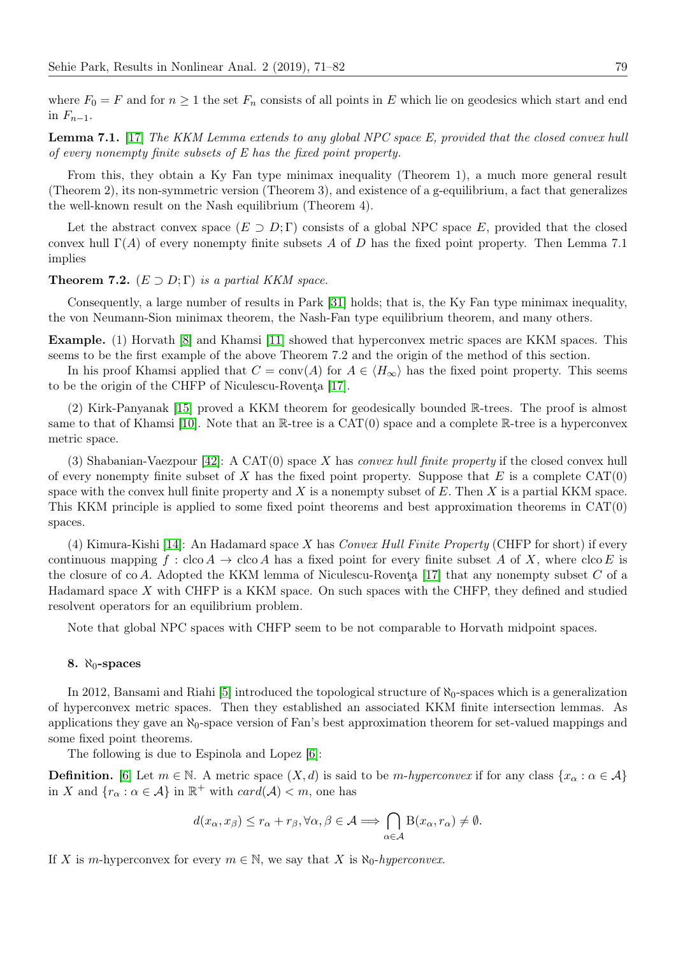where  $F_0 = F$  and for  $n \ge 1$  the set  $F_n$  consists of all points in E which lie on geodesics which start and end in  $F_{n-1}$ .

Lemma 7.1. [\[17\]](#page-11-9) The KKM Lemma extends to any global NPC space E, provided that the closed convex hull of every nonempty finite subsets of E has the fixed point property.

From this, they obtain a Ky Fan type minimax inequality (Theorem 1), a much more general result (Theorem 2), its non-symmetric version (Theorem 3), and existence of a g-equilibrium, a fact that generalizes the well-known result on the Nash equilibrium (Theorem 4).

Let the abstract convex space  $(E \supset D; \Gamma)$  consists of a global NPC space E, provided that the closed convex hull  $\Gamma(A)$  of every nonempty finite subsets A of D has the fixed point property. Then Lemma 7.1 implies

## **Theorem 7.2.**  $(E \supset D; \Gamma)$  is a partial KKM space.

Consequently, a large number of results in Park [\[31\]](#page-11-12) holds; that is, the Ky Fan type minimax inequality, the von Neumann-Sion minimax theorem, the Nash-Fan type equilibrium theorem, and many others.

Example. (1) Horvath [\[8\]](#page-10-1) and Khamsi [\[11\]](#page-11-1) showed that hyperconvex metric spaces are KKM spaces. This seems to be the first example of the above Theorem 7.2 and the origin of the method of this section.

In his proof Khamsi applied that  $C = \text{conv}(A)$  for  $A \in \langle H_{\infty} \rangle$  has the fixed point property. This seems to be the origin of the CHFP of Niculescu-Rovenţa [\[17\]](#page-11-9).

(2) Kirk-Panyanak [\[15\]](#page-11-20) proved a KKM theorem for geodesically bounded R-trees. The proof is almost same to that of Khamsi [\[10\]](#page-11-4). Note that an  $\mathbb{R}$ -tree is a CAT(0) space and a complete  $\mathbb{R}$ -tree is a hyperconvex metric space.

(3) Shabanian-Vaezpour [\[42\]](#page-11-21): A  $CAT(0)$  space X has *convex hull finite property* if the closed convex hull of every nonempty finite subset of X has the fixed point property. Suppose that E is a complete  $CAT(0)$ space with the convex hull finite property and  $X$  is a nonempty subset of  $E$ . Then  $X$  is a partial KKM space. This KKM principle is applied to some fixed point theorems and best approximation theorems in CAT(0) spaces.

(4) Kimura-Kishi [\[14\]](#page-11-22): An Hadamard space X has Convex Hull Finite Property (CHFP for short) if every continuous mapping  $f : \text{cloc } A \to \text{cloc } A$  has a fixed point for every finite subset A of X, where  $\text{cloc } E$  is the closure of co A. Adopted the KKM lemma of Niculescu-Roventa [\[17\]](#page-11-9) that any nonempty subset  $C$  of a Hadamard space  $X$  with CHFP is a KKM space. On such spaces with the CHFP, they defined and studied resolvent operators for an equilibrium problem.

Note that global NPC spaces with CHFP seem to be not comparable to Horvath midpoint spaces.

#### 8.  $\aleph_0$ -spaces

In 2012, Bansami and Riahi [\[5\]](#page-10-4) introduced the topological structure of  $\aleph_0$ -spaces which is a generalization of hyperconvex metric spaces. Then they established an associated KKM finite intersection lemmas. As applications they gave an  $\aleph_0$ -space version of Fan's best approximation theorem for set-valued mappings and some fixed point theorems.

The following is due to Espinola and Lopez [\[6\]](#page-10-3):

**Definition.** [\[6\]](#page-10-3) Let  $m \in \mathbb{N}$ . A metric space  $(X, d)$  is said to be m-hyperconvex if for any class  $\{x_{\alpha} : \alpha \in \mathcal{A}\}\$ in X and  $\{r_{\alpha} : \alpha \in \mathcal{A}\}\$ in  $\mathbb{R}^+$  with  $card(\mathcal{A}) < m$ , one has

$$
d(x_{\alpha}, x_{\beta}) \le r_{\alpha} + r_{\beta}, \forall \alpha, \beta \in \mathcal{A} \Longrightarrow \bigcap_{\alpha \in \mathcal{A}} \mathcal{B}(x_{\alpha}, r_{\alpha}) \neq \emptyset.
$$

If X is m-hyperconvex for every  $m \in \mathbb{N}$ , we say that X is  $\aleph_0$ -hyperconvex.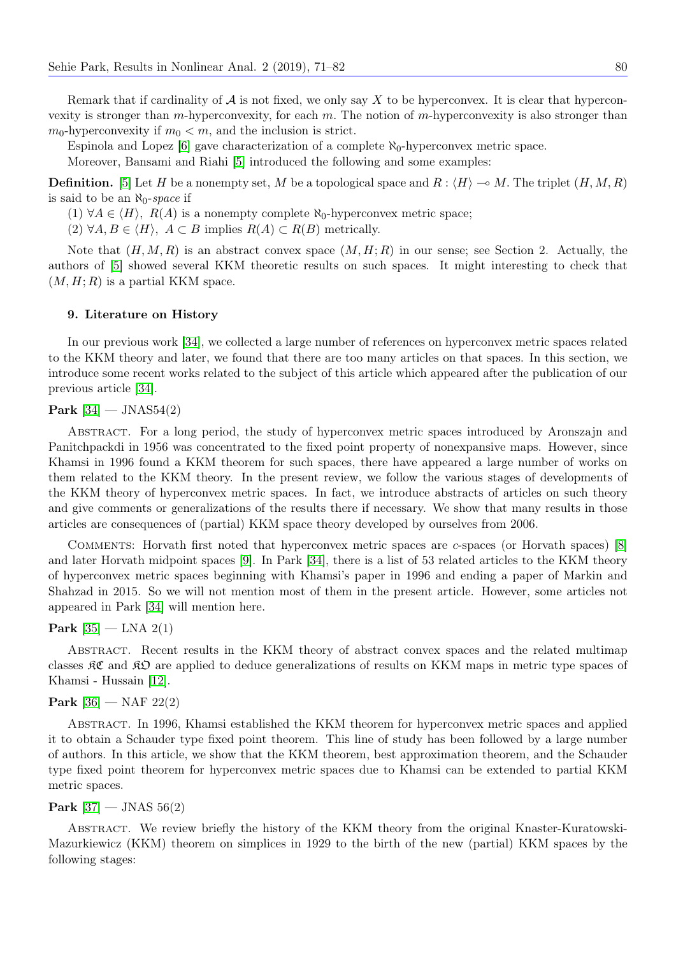Remark that if cardinality of  $A$  is not fixed, we only say X to be hyperconvex. It is clear that hyperconvexity is stronger than m-hyperconvexity, for each  $m$ . The notion of m-hyperconvexity is also stronger than  $m_0$ -hyperconvexity if  $m_0 < m$ , and the inclusion is strict.

Espinola and Lopez [\[6\]](#page-10-3) gave characterization of a complete  $\aleph_0$ -hyperconvex metric space.

Moreover, Bansami and Riahi [\[5\]](#page-10-4) introduced the following and some examples:

**Definition.** [\[5\]](#page-10-4) Let H be a nonempty set, M be a topological space and  $R : \langle H \rangle \to M$ . The triplet  $(H, M, R)$ is said to be an  $\aleph_0$ -space if

- (1)  $\forall A \in \langle H \rangle$ ,  $R(A)$  is a nonempty complete  $\aleph_0$ -hyperconvex metric space;
- (2)  $\forall A, B \in \langle H \rangle$ ,  $A \subset B$  implies  $R(A) \subset R(B)$  metrically.

Note that  $(H, M, R)$  is an abstract convex space  $(M, H; R)$  in our sense; see Section 2. Actually, the authors of [\[5\]](#page-10-4) showed several KKM theoretic results on such spaces. It might interesting to check that  $(M, H; R)$  is a partial KKM space.

# 9. Literature on History

In our previous work [\[34\]](#page-11-0), we collected a large number of references on hyperconvex metric spaces related to the KKM theory and later, we found that there are too many articles on that spaces. In this section, we introduce some recent works related to the subject of this article which appeared after the publication of our previous article [\[34\]](#page-11-0).

#### **Park**  $[34]$  — JNAS54(2)

Abstract. For a long period, the study of hyperconvex metric spaces introduced by Aronszajn and Panitchpackdi in 1956 was concentrated to the fixed point property of nonexpansive maps. However, since Khamsi in 1996 found a KKM theorem for such spaces, there have appeared a large number of works on them related to the KKM theory. In the present review, we follow the various stages of developments of the KKM theory of hyperconvex metric spaces. In fact, we introduce abstracts of articles on such theory and give comments or generalizations of the results there if necessary. We show that many results in those articles are consequences of (partial) KKM space theory developed by ourselves from 2006.

Comments: Horvath first noted that hyperconvex metric spaces are c-spaces (or Horvath spaces) [\[8\]](#page-10-1) and later Horvath midpoint spaces [\[9\]](#page-11-8). In Park [\[34\]](#page-11-0), there is a list of 53 related articles to the KKM theory of hyperconvex metric spaces beginning with Khamsi's paper in 1996 and ending a paper of Markin and Shahzad in 2015. So we will not mention most of them in the present article. However, some articles not appeared in Park [\[34\]](#page-11-0) will mention here.

# **Park**  $[35]$  — LNA  $2(1)$

Abstract. Recent results in the KKM theory of abstract convex spaces and the related multimap classes KC and KO are applied to deduce generalizations of results on KKM maps in metric type spaces of Khamsi - Hussain [\[12\]](#page-11-3).

## **Park**  $[36]$  — NAF 22(2)

Abstract. In 1996, Khamsi established the KKM theorem for hyperconvex metric spaces and applied it to obtain a Schauder type fixed point theorem. This line of study has been followed by a large number of authors. In this article, we show that the KKM theorem, best approximation theorem, and the Schauder type fixed point theorem for hyperconvex metric spaces due to Khamsi can be extended to partial KKM metric spaces.

#### **Park**  $[37]$  — JNAS 56(2)

Abstract. We review briefly the history of the KKM theory from the original Knaster-Kuratowski-Mazurkiewicz (KKM) theorem on simplices in 1929 to the birth of the new (partial) KKM spaces by the following stages: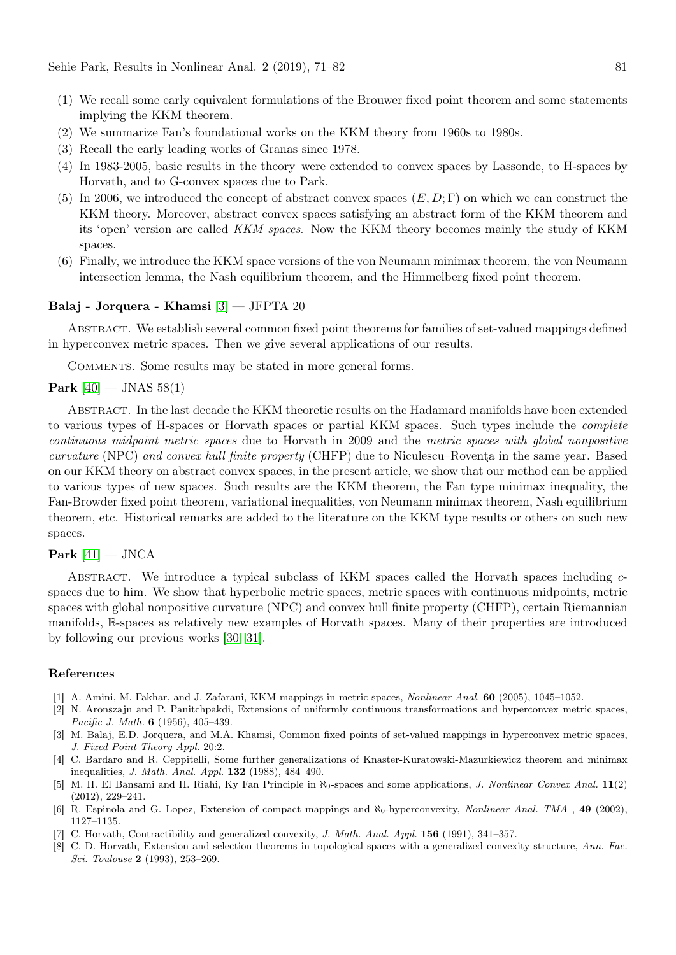- (1) We recall some early equivalent formulations of the Brouwer fixed point theorem and some statements implying the KKM theorem.
- (2) We summarize Fan's foundational works on the KKM theory from 1960s to 1980s.
- (3) Recall the early leading works of Granas since 1978.
- (4) In 1983-2005, basic results in the theory were extended to convex spaces by Lassonde, to H-spaces by Horvath, and to G-convex spaces due to Park.
- (5) In 2006, we introduced the concept of abstract convex spaces  $(E, D; \Gamma)$  on which we can construct the KKM theory. Moreover, abstract convex spaces satisfying an abstract form of the KKM theorem and its 'open' version are called KKM spaces. Now the KKM theory becomes mainly the study of KKM spaces.
- (6) Finally, we introduce the KKM space versions of the von Neumann minimax theorem, the von Neumann intersection lemma, the Nash equilibrium theorem, and the Himmelberg fixed point theorem.

## Balaj - Jorquera - Khamsi [\[3\]](#page-10-7) — JFPTA 20

Abstract. We establish several common fixed point theorems for families of set-valued mappings defined in hyperconvex metric spaces. Then we give several applications of our results.

Comments. Some results may be stated in more general forms.

#### **Park**  $[40]$  — JNAS 58(1)

Abstract. In the last decade the KKM theoretic results on the Hadamard manifolds have been extended to various types of H-spaces or Horvath spaces or partial KKM spaces. Such types include the complete continuous midpoint metric spaces due to Horvath in 2009 and the metric spaces with global nonpositive curvature (NPC) and convex hull finite property (CHFP) due to Niculescu–Roventa in the same year. Based on our KKM theory on abstract convex spaces, in the present article, we show that our method can be applied to various types of new spaces. Such results are the KKM theorem, the Fan type minimax inequality, the Fan-Browder fixed point theorem, variational inequalities, von Neumann minimax theorem, Nash equilibrium theorem, etc. Historical remarks are added to the literature on the KKM type results or others on such new spaces.

## Park  $[41]$  — JNCA

ABSTRACT. We introduce a typical subclass of KKM spaces called the Horvath spaces including  $c$ spaces due to him. We show that hyperbolic metric spaces, metric spaces with continuous midpoints, metric spaces with global nonpositive curvature (NPC) and convex hull finite property (CHFP), certain Riemannian manifolds, B-spaces as relatively new examples of Horvath spaces. Many of their properties are introduced by following our previous works [\[30,](#page-11-15) [31\]](#page-11-12).

#### References

- <span id="page-10-2"></span>[1] A. Amini, M. Fakhar, and J. Zafarani, KKM mappings in metric spaces, Nonlinear Anal. 60 (2005), 1045–1052.
- <span id="page-10-0"></span>[2] N. Aronszajn and P. Panitchpakdi, Extensions of uniformly continuous transformations and hyperconvex metric spaces, Pacific J. Math. **6** (1956), 405-439.
- <span id="page-10-7"></span>[3] M. Balaj, E.D. Jorquera, and M.A. Khamsi, Common fixed points of set-valued mappings in hyperconvex metric spaces, J. Fixed Point Theory Appl. 20:2.
- <span id="page-10-6"></span>[4] C. Bardaro and R. Ceppitelli, Some further generalizations of Knaster-Kuratowski-Mazurkiewicz theorem and minimax inequalities, J. Math. Anal. Appl. 132 (1988), 484–490.
- <span id="page-10-4"></span>[5] M. H. El Bansami and H. Riahi, Ky Fan Principle in ℵ0-spaces and some applications, J. Nonlinear Convex Anal. 11(2) (2012), 229–241.
- <span id="page-10-3"></span>[6] R. Espinola and G. Lopez, Extension of compact mappings and  $\aleph_0$ -hyperconvexity, *Nonlinear Anal. TMA*, 49 (2002), 1127–1135.
- <span id="page-10-5"></span>[7] C. Horvath, Contractibility and generalized convexity, *J. Math. Anal. Appl.* **156** (1991), 341–357.
- <span id="page-10-1"></span>[8] C. D. Horvath, Extension and selection theorems in topological spaces with a generalized convexity structure, Ann. Fac. Sci. Toulouse 2 (1993), 253–269.